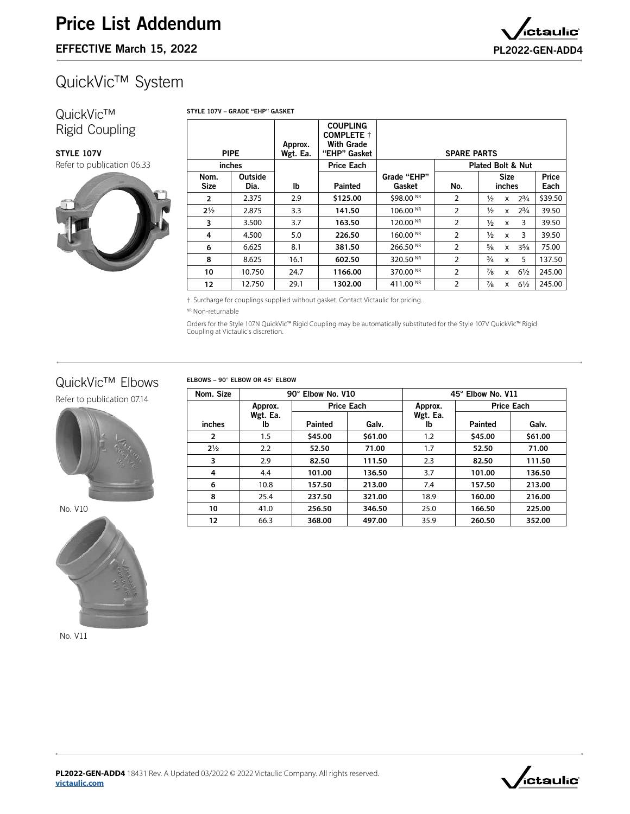# QuickVic™ System

#### QuickVic™ Rigid Coupling

[Refer to publication 06.33](http://www.victaulic.com/assets/uploads/literature/06.33.pdf)

STYLE 107V

STYLE 107V – GRADE "EHP" GASKET

PIPE Approx. Wgt. Ea. **COUPLING** COMPLETE † With Grade<br>'EHP" Gasket SPARE PARTS inches lb Price Each Grade "EHP" Gasket Plated Bolt & Nut Nom. Size **Outside** Dia. | Ib | Painted | Gasket | No. Size inches Price Each **2**  $\begin{array}{|c|c|c|c|c|c|} \hline \textbf{2.375} & \textbf{2.9} & \textbf{\$125.00} & \textbf{\$98.00\, \text{\tiny{NR}}} & \textbf{2} & \textbf{\#} & \textbf{\#} & \textbf{\#} & \textbf{\$39.50} \ \hline \end{array}$ **2**Z\x 2.875 3.3 **141.50** 106.00 NR 2 Z\x x 2C\v 39.50 **3**  $\begin{array}{|c|c|c|c|c|c|} \hline \textbf{3.500} & \textbf{3.7} & \textbf{163.50} & \textbf{120.00} \text{ }\text{^{\text{NR}}} & \textbf{2} & \textbf{1}\textbf{2} & \textbf{x} & \textbf{3} & \textbf{39.50} \ \hline \end{array}$ **4**  $\begin{array}{|c|c|c|c|c|} \hline \textbf{4.500} & \textbf{5.0} & \textbf{226.50} & \textbf{160.00}\,\text{^{\textit{NR}}} & \textbf{2} & \textbf{1}\textbf{2} & \textbf{1}\textbf{2} & \textbf{x} & \textbf{3} & \textbf{39.50} \hline \end{array}$ **6**  $\begin{array}{|c|c|c|c|c|c|} \hline \textbf{6.625} & \textbf{8.1} & \textbf{381.50} & \textbf{266.50} \, \texttt{N}\texttt{R} & \textbf{2} & \textbf{5}\texttt{8} & \textbf{x} & \textbf{35}\texttt{8} & \textbf{75.00} \, \textbf{35.00} & \textbf{10.00} & \textbf{11.00} & \textbf{12.00} & \textbf{2.00} \, \textbf{13.00} & \textbf{2.00} & \textbf{2.00} & \$ **8**  $\begin{array}{|c|c|c|c|c|c|} \hline \textbf{8.625} & \textbf{16.1} & \textbf{602.50} & \textbf{320.50} \end{array}$   $\begin{array}{|c|c|c|c|c|c|} \hline \textbf{320.50} & \textbf{20.50} \end{array}$   $\begin{array}{|c|c|c|c|c|c|} \hline \textbf{2} & \textbf{34} & \textbf{x} & \textbf{5} & \textbf{137.50} \end{array}$ **10** | 10.750 | 24.7 | **1166.00** | 370.00 <sup>NR</sup> | 2 |  $\frac{7}{8}$  x 6½ | 245.00 **12** | 12.750 | 29.1 | **1302.00** | 411.00 NR | 2 |  $\frac{7}{8}$  x 61⁄2 | 245.00

† Surcharge for couplings supplied without gasket. Contact Victaulic for pricing.

NR Non-returnable

Orders for the Style 107N QuickVic™ Rigid Coupling may be automatically substituted for the Style 107V QuickVic™ Rigid Coupling at Victaulic's discretion.

### QuickVic™ Elbows

[Refer to publication 07.14](http://www.victaulic.com/assets/uploads/literature/07.14.pdf)



No. V10



No. V11

**[victaulic.com](http://www.victaulic.com)**



**PL2022-GEN-ADD4** 18431 Rev. A Updated 03/2022 © 2022 Victaulic Company. All rights reserved.

ELBOWS – 90° ELBOW OR 45° ELBOW

| Nom. Size      | 90° Elbow No. V10 |                   |         | 45° Elbow No. V11 |                   |         |
|----------------|-------------------|-------------------|---------|-------------------|-------------------|---------|
|                | Approx.           | <b>Price Each</b> |         | Approx.           | <b>Price Each</b> |         |
|                | Wgt. Ea.          |                   |         | Wgt. Ea.          |                   |         |
| inches         | lb.               | <b>Painted</b>    | Galv.   | Ib                | <b>Painted</b>    | Galv.   |
| $\overline{2}$ | 1.5               | \$45.00           | \$61.00 | 1.2               | \$45.00           | \$61.00 |
| $2\frac{1}{2}$ | 2.2               | 52.50             | 71.00   | 1.7               | 52.50             | 71.00   |
| 3              | 2.9               | 82.50             | 111.50  | 2.3               | 82.50             | 111.50  |
| 4              | 4.4               | 101.00            | 136.50  | 3.7               | 101.00            | 136.50  |
| 6              | 10.8              | 157.50            | 213.00  | 7.4               | 157.50            | 213.00  |
| 8              | 25.4              | 237.50            | 321.00  | 18.9              | 160.00            | 216.00  |
| 10             | 41.0              | 256.50            | 346.50  | 25.0              | 166.50            | 225.00  |
| 12             | 66.3              | 368.00            | 497.00  | 35.9              | 260.50            | 352.00  |